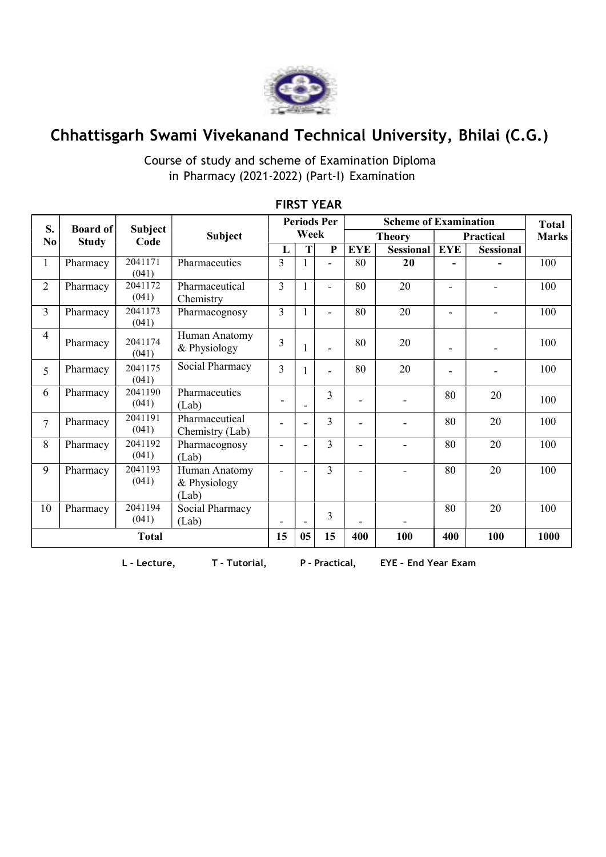

# Chhattisgarh Swami Vivekanand Technical University, Bhilai (C.G.)

### Course of study and scheme of Examination Diploma in Pharmacy (2021-2022) (Part-I) Examination

| S.                     | <b>Board of</b><br><b>Study</b> | <b>Subject</b><br>Code | <b>Subject</b>                         | <b>Periods Per</b><br>Week |                |                          |               | <b>Total</b>     |                          |                  |              |
|------------------------|---------------------------------|------------------------|----------------------------------------|----------------------------|----------------|--------------------------|---------------|------------------|--------------------------|------------------|--------------|
| $\mathbf{N}\mathbf{0}$ |                                 |                        |                                        |                            |                |                          | <b>Theory</b> |                  | Practical                |                  | <b>Marks</b> |
|                        |                                 |                        |                                        | L                          | T              | ${\bf P}$                | <b>EYE</b>    | <b>Sessional</b> | <b>EYE</b>               | <b>Sessional</b> |              |
|                        | Pharmacy                        | 2041171<br>(041)       | Pharmaceutics                          | $\overline{3}$             |                | ÷,                       | 80            | 20               |                          |                  | 100          |
| $\overline{2}$         | Pharmacy                        | 2041172<br>(041)       | Pharmaceutical<br>Chemistry            | $\overline{3}$             |                | $\overline{\phantom{a}}$ | 80            | 20               | $\blacksquare$           | ÷                | 100          |
| $\overline{3}$         | Pharmacy                        | 2041173<br>(041)       | Pharmacognosy                          | $\overline{3}$             |                | $\overline{\phantom{a}}$ | 80            | 20               | $\overline{\phantom{a}}$ | Ξ.               | 100          |
| 4                      | Pharmacy                        | 2041174<br>(041)       | Human Anatomy<br>& Physiology          | 3                          |                | $\blacksquare$           | 80            | 20               | ٠                        |                  | 100          |
| 5                      | Pharmacy                        | 2041175<br>(041)       | Social Pharmacy                        | $\overline{3}$             |                |                          | 80            | 20               |                          |                  | 100          |
| 6                      | Pharmacy                        | 2041190<br>(041)       | Pharmaceutics<br>(Lab)                 |                            |                | 3                        | ۰             | L.               | 80                       | 20               | 100          |
| $\tau$                 | Pharmacy                        | 2041191<br>(041)       | Pharmaceutical<br>Chemistry (Lab)      |                            |                | $\overline{3}$           |               | $\overline{a}$   | 80                       | 20               | 100          |
| 8                      | Pharmacy                        | 2041192<br>(041)       | Pharmacognosy<br>(Lab)                 | $\overline{\phantom{a}}$   | ٠              | $\overline{3}$           | ÷             | $\overline{a}$   | 80                       | 20               | 100          |
| 9                      | Pharmacy                        | 2041193<br>(041)       | Human Anatomy<br>& Physiology<br>(Lab) | ÷                          |                | $\overline{3}$           |               |                  | 80                       | $\overline{20}$  | 100          |
| 10                     | Pharmacy                        | 2041194<br>(041)       | Social Pharmacy<br>(Lab)               |                            |                | 3                        |               |                  | 80                       | 20               | 100          |
| <b>Total</b>           |                                 |                        |                                        | 15                         | 0 <sub>5</sub> | 15                       | 400           | 100              | 400                      | 100              | 1000         |

#### FIRST YEAR

L – Lecture, T – Tutorial, P – Practical, EYE – End Year Exam